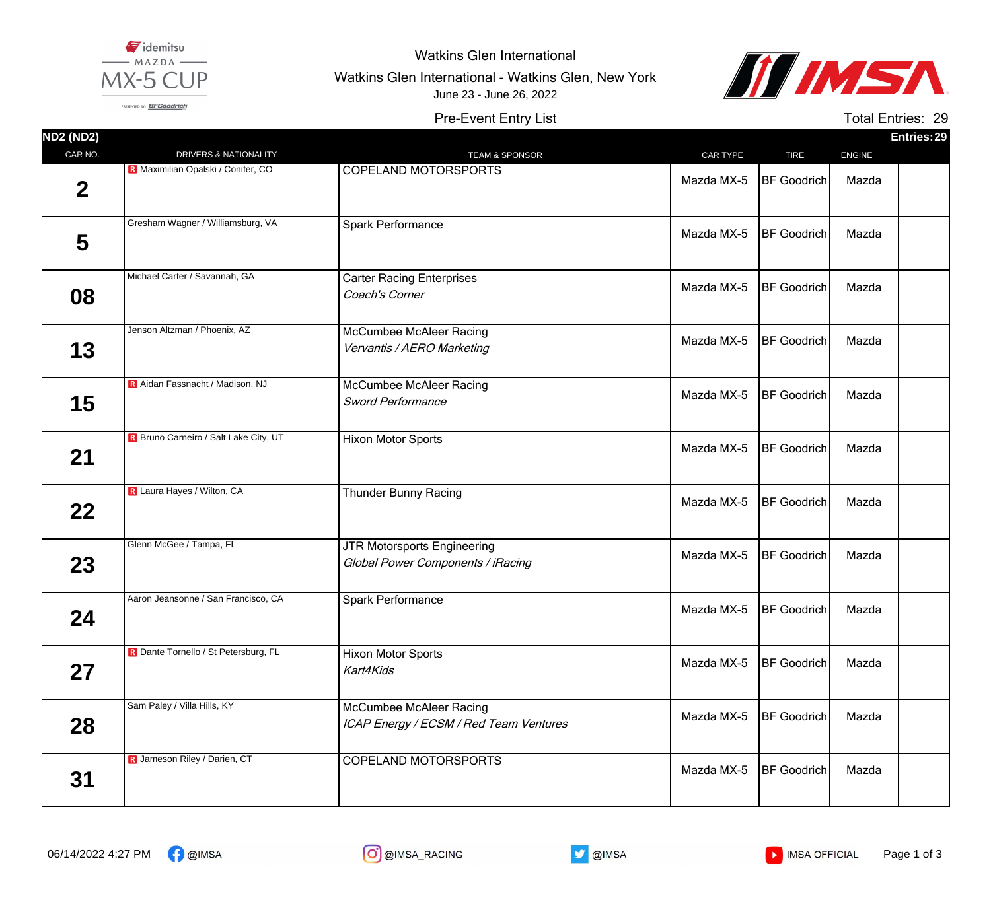

Watkins Glen International

Watkins Glen International - Watkins Glen, New York



PRESENTED BY: BFGoodrich

Pre-Event Entry List June 23 - June 26, 2022

Total Entries: 29

| <b>ND2 (ND2)</b> |                                              |                                                                   |            |                    |               | Entries: 29 |
|------------------|----------------------------------------------|-------------------------------------------------------------------|------------|--------------------|---------------|-------------|
| CAR NO.          | DRIVERS & NATIONALITY                        | <b>TEAM &amp; SPONSOR</b>                                         | CAR TYPE   | <b>TIRE</b>        | <b>ENGINE</b> |             |
| $\mathbf 2$      | R Maximilian Opalski / Conifer, CO           | <b>COPELAND MOTORSPORTS</b>                                       | Mazda MX-5 | <b>BF Goodrich</b> | Mazda         |             |
| 5                | Gresham Wagner / Williamsburg, VA            | <b>Spark Performance</b>                                          | Mazda MX-5 | <b>BF</b> Goodrich | Mazda         |             |
| 08               | Michael Carter / Savannah, GA                | <b>Carter Racing Enterprises</b><br>Coach's Corner                | Mazda MX-5 | <b>BF</b> Goodrich | Mazda         |             |
| 13               | Jenson Altzman / Phoenix, AZ                 | McCumbee McAleer Racing<br>Vervantis / AERO Marketing             | Mazda MX-5 | <b>BF</b> Goodrich | Mazda         |             |
| 15               | R Aidan Fassnacht / Madison, NJ              | <b>McCumbee McAleer Racing</b><br><b>Sword Performance</b>        | Mazda MX-5 | <b>BF</b> Goodrich | Mazda         |             |
| 21               | <b>R</b> Bruno Carneiro / Salt Lake City, UT | <b>Hixon Motor Sports</b>                                         | Mazda MX-5 | <b>BF</b> Goodrich | Mazda         |             |
| $22 \,$          | R Laura Hayes / Wilton, CA                   | <b>Thunder Bunny Racing</b>                                       | Mazda MX-5 | <b>BF</b> Goodrich | Mazda         |             |
| 23               | Glenn McGee / Tampa, FL                      | JTR Motorsports Engineering<br>Global Power Components / iRacing  | Mazda MX-5 | <b>BF</b> Goodrich | Mazda         |             |
| 24               | Aaron Jeansonne / San Francisco, CA          | Spark Performance                                                 | Mazda MX-5 | <b>BF</b> Goodrich | Mazda         |             |
| 27               | R Dante Tornello / St Petersburg, FL         | <b>Hixon Motor Sports</b><br>Kart4Kids                            | Mazda MX-5 | <b>BF</b> Goodrich | Mazda         |             |
| 28               | Sam Paley / Villa Hills, KY                  | McCumbee McAleer Racing<br>ICAP Energy / ECSM / Red Team Ventures | Mazda MX-5 | <b>BF</b> Goodrich | Mazda         |             |
| 31               | R Jameson Riley / Darien, CT                 | <b>COPELAND MOTORSPORTS</b>                                       | Mazda MX-5 | <b>BF</b> Goodrich | Mazda         |             |





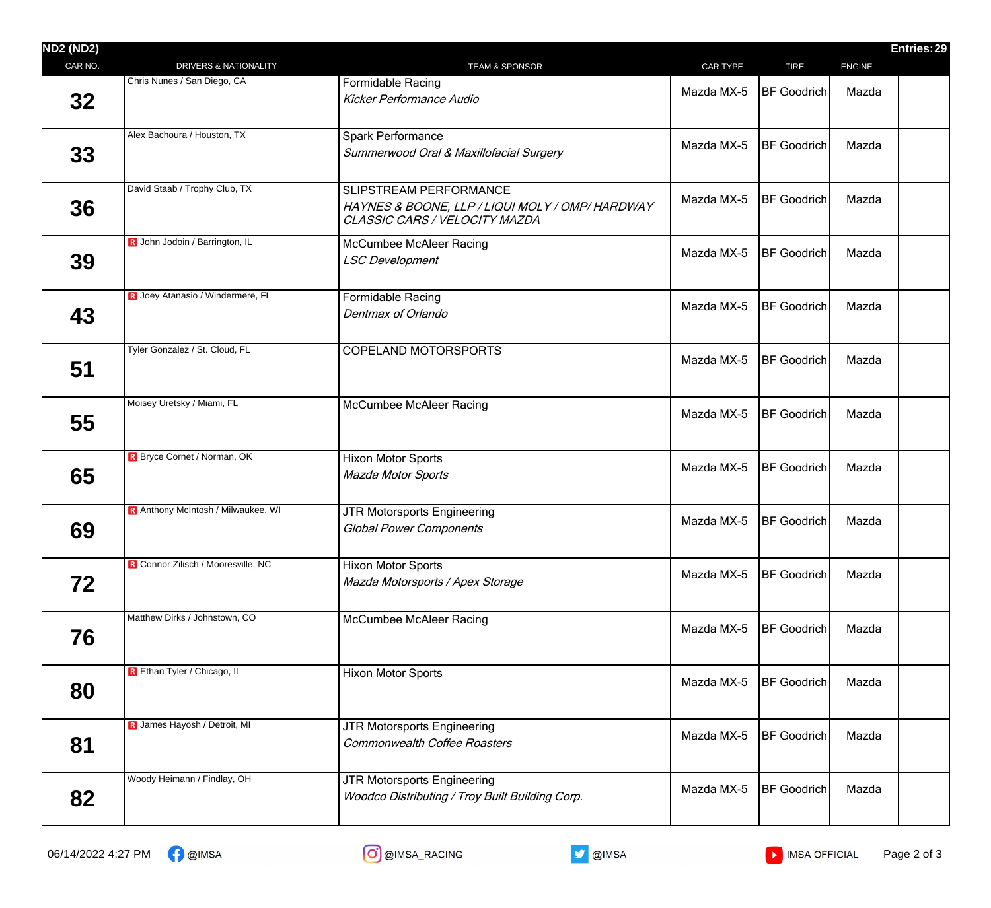| <b>DRIVERS &amp; NATIONALITY</b>   | <b>TEAM &amp; SPONSOR</b>                                                                                  | CAR TYPE   | <b>TIRE</b>        |                    |  |
|------------------------------------|------------------------------------------------------------------------------------------------------------|------------|--------------------|--------------------|--|
|                                    |                                                                                                            |            |                    | <b>ENGINE</b>      |  |
|                                    | <b>Formidable Racing</b><br><b>Kicker Performance Audio</b>                                                | Mazda MX-5 |                    | Mazda              |  |
| Alex Bachoura / Houston, TX        | Spark Performance<br>Summerwood Oral & Maxillofacial Surgery                                               | Mazda MX-5 | <b>BF</b> Goodrich | Mazda              |  |
| David Staab / Trophy Club, TX      | SLIPSTREAM PERFORMANCE<br>HAYNES & BOONE, LLP / LIQUI MOLY / OMP/ HARDWAY<br>CLASSIC CARS / VELOCITY MAZDA | Mazda MX-5 | BF Goodrich        | Mazda              |  |
| R John Jodoin / Barrington, IL     | <b>McCumbee McAleer Racing</b><br><b>LSC Development</b>                                                   | Mazda MX-5 | <b>BF Goodrich</b> | Mazda              |  |
| R Joey Atanasio / Windermere, FL   | <b>Formidable Racing</b><br>Dentmax of Orlando                                                             | Mazda MX-5 | <b>BF</b> Goodrich | Mazda              |  |
| Tyler Gonzalez / St. Cloud, FL     | <b>COPELAND MOTORSPORTS</b>                                                                                | Mazda MX-5 | <b>BF</b> Goodrich | Mazda              |  |
| Moisey Uretsky / Miami, FL         | McCumbee McAleer Racing                                                                                    | Mazda MX-5 | <b>BF</b> Goodrich | Mazda              |  |
| R Bryce Cornet / Norman, OK        | <b>Hixon Motor Sports</b><br><b>Mazda Motor Sports</b>                                                     | Mazda MX-5 | <b>BF</b> Goodrich | Mazda              |  |
| R Anthony McIntosh / Milwaukee, WI | JTR Motorsports Engineering<br><b>Global Power Components</b>                                              | Mazda MX-5 | <b>BF</b> Goodrich | Mazda              |  |
| R Connor Zilisch / Mooresville, NC | <b>Hixon Motor Sports</b><br>Mazda Motorsports / Apex Storage                                              | Mazda MX-5 | <b>BF</b> Goodrich | Mazda              |  |
| Matthew Dirks / Johnstown, CO      | McCumbee McAleer Racing                                                                                    | Mazda MX-5 | <b>BF Goodrich</b> | Mazda              |  |
| R Ethan Tyler / Chicago, IL        | Hixon Motor Sports                                                                                         | Mazda MX-5 | <b>BF Goodrich</b> | Mazda              |  |
| R James Hayosh / Detroit, MI       | JTR Motorsports Engineering<br><b>Commonwealth Coffee Roasters</b>                                         | Mazda MX-5 | <b>BF</b> Goodrich | Mazda              |  |
| Woody Heimann / Findlay, OH        | JTR Motorsports Engineering<br>Woodco Distributing / Troy Built Building Corp.                             | Mazda MX-5 | <b>BF</b> Goodrich | Mazda              |  |
|                                    | Chris Nunes / San Diego, CA                                                                                |            |                    | <b>BF</b> Goodrich |  |